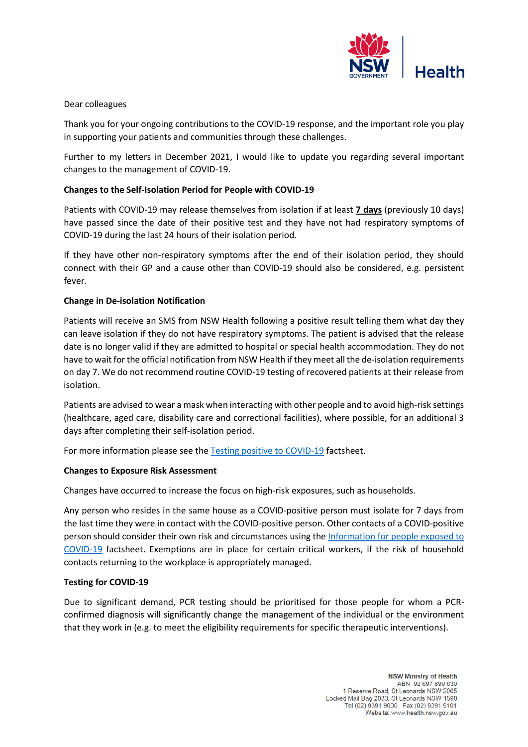

### Dear colleagues

Thank you for your ongoing contributions to the COVID-19 response, and the important role you play in supporting your patients and communities through these challenges.

Further to my letters in December 2021, I would like to update you regarding several important changes to the management of COVID-19.

# **Changes to the Self-Isolation Period for People with COVID-19**

Patients with COVID-19 may release themselves from isolation if at least **7 days** (previously 10 days) have passed since the date of their positive test and they have not had respiratory symptoms of COVID-19 during the last 24 hours of their isolation period.

If they have other non-respiratory symptoms after the end of their isolation period, they should connect with their GP and a cause other than COVID-19 should also be considered, e.g. persistent fever.

### **Change in De-isolation Notification**

Patients will receive an SMS from NSW Health following a positive result telling them what day they can leave isolation if they do not have respiratory symptoms. The patient is advised that the release date is no longer valid if they are admitted to hospital or special health accommodation. They do not have to wait for the official notification from NSW Health if they meet all the de-isolation requirements on day 7. We do not recommend routine COVID-19 testing of recovered patients at their release from isolation.

Patients are advised to wear a mask when interacting with other people and to avoid high-risk settings (healthcare, aged care, disability care and correctional facilities), where possible, for an additional 3 days after completing their self-isolation period.

For more information please see th[e Testing positive to COVID-19](https://www.health.nsw.gov.au/Infectious/factsheets/Pages/advice-for-confirmed.aspx) factsheet.

#### **Changes to Exposure Risk Assessment**

Changes have occurred to increase the focus on high-risk exposures, such as households.

Any person who resides in the same house as a COVID-positive person must isolate for 7 days from the last time they were in contact with the COVID-positive person. Other contacts of a COVID-positive person should consider their own risk and circumstances using the [Information for people exposed to](https://www.health.nsw.gov.au/Infectious/factsheets/Pages/people-exposed-to-covid.aspx)  [COVID-19](https://www.health.nsw.gov.au/Infectious/factsheets/Pages/people-exposed-to-covid.aspx) factsheet. Exemptions are in place for certain critical workers, if the risk of household contacts returning to the workplace is appropriately managed.

#### **Testing for COVID-19**

Due to significant demand, PCR testing should be prioritised for those people for whom a PCRconfirmed diagnosis will significantly change the management of the individual or the environment that they work in (e.g. to meet the eligibility requirements for specific therapeutic interventions).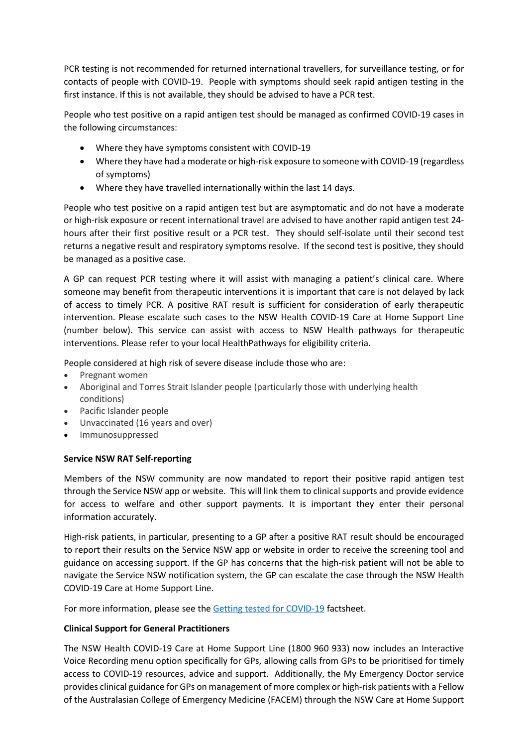PCR testing is not recommended for returned international travellers, for surveillance testing, or for contacts of people with COVID-19. People with symptoms should seek rapid antigen testing in the first instance. If this is not available, they should be advised to have a PCR test.

People who test positive on a rapid antigen test should be managed as confirmed COVID-19 cases in the following circumstances:

- Where they have symptoms consistent with COVID-19
- Where they have had a moderate or high-risk exposure to someone with COVID-19 (regardless of symptoms)
- Where they have travelled internationally within the last 14 days.

People who test positive on a rapid antigen test but are asymptomatic and do not have a moderate or high-risk exposure or recent international travel are advised to have another rapid antigen test 24 hours after their first positive result or a PCR test. They should self-isolate until their second test returns a negative result and respiratory symptoms resolve. If the second test is positive, they should be managed as a positive case.

A GP can request PCR testing where it will assist with managing a patient's clinical care. Where someone may benefit from therapeutic interventions it is important that care is not delayed by lack of access to timely PCR. A positive RAT result is sufficient for consideration of early therapeutic intervention. Please escalate such cases to the NSW Health COVID-19 Care at Home Support Line (number below). This service can assist with access to NSW Health pathways for therapeutic interventions. Please refer to your local HealthPathways for eligibility criteria.

People considered at high risk of severe disease include those who are:

- Pregnant women
- Aboriginal and Torres Strait Islander people (particularly those with underlying health conditions)
- Pacific Islander people
- Unvaccinated (16 years and over)
- Immunosuppressed

# **Service NSW RAT Self-reporting**

Members of the NSW community are now mandated to report their positive rapid antigen test through the Service NSW app or website. This will link them to clinical supports and provide evidence for access to welfare and other support payments. It is important they enter their personal information accurately.

High-risk patients, in particular, presenting to a GP after a positive RAT result should be encouraged to report their results on the Service NSW app or website in order to receive the screening tool and guidance on accessing support. If the GP has concerns that the high-risk patient will not be able to navigate the Service NSW notification system, the GP can escalate the case through the NSW Health COVID-19 Care at Home Support Line.

For more information, please see the [Getting tested for COVID-19](https://www.health.nsw.gov.au/Infectious/factsheets/Pages/get-tested-for-covid-19.aspx) factsheet.

# **Clinical Support for General Practitioners**

The NSW Health COVID-19 Care at Home Support Line (1800 960 933) now includes an Interactive Voice Recording menu option specifically for GPs, allowing calls from GPs to be prioritised for timely access to COVID-19 resources, advice and support. Additionally, the My Emergency Doctor service provides clinical guidance for GPs on management of more complex or high-risk patients with a Fellow of the Australasian College of Emergency Medicine (FACEM) through the NSW Care at Home Support